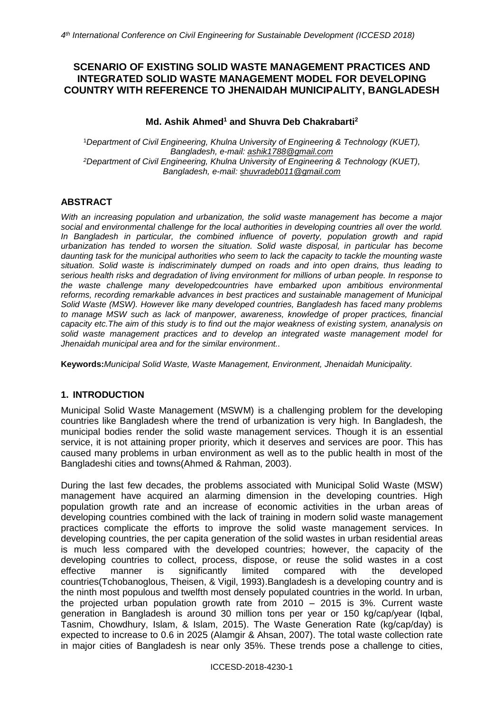# **SCENARIO OF EXISTING SOLID WASTE MANAGEMENT PRACTICES AND INTEGRATED SOLID WASTE MANAGEMENT MODEL FOR DEVELOPING COUNTRY WITH REFERENCE TO JHENAIDAH MUNICIPALITY, BANGLADESH**

## **Md. Ashik Ahmed<sup>1</sup> and Shuvra Deb Chakrabarti<sup>2</sup>**

<sup>1</sup>*Department of Civil Engineering, Khulna University of Engineering & Technology (KUET), Bangladesh, e-mail: [ashik1788@gmail.com](mailto:ashik1788@gmail.com) <sup>2</sup>Department of Civil Engineering, Khulna University of Engineering & Technology (KUET), Bangladesh, e-mail: [shuvradeb011@gmail.com](mailto:shuvradeb011@gmail.com)*

# **ABSTRACT**

*With an increasing population and urbanization, the solid waste management has become a major social and environmental challenge for the local authorities in developing countries all over the world.*  In Bangladesh in particular, the combined influence of poverty, population growth and rapid *urbanization has tended to worsen the situation. Solid waste disposal, in particular has become daunting task for the municipal authorities who seem to lack the capacity to tackle the mounting waste situation. Solid waste is indiscriminately dumped on roads and into open drains, thus leading to serious health risks and degradation of living environment for millions of urban people. In response to the waste challenge many developedcountries have embarked upon ambitious environmental reforms, recording remarkable advances in best practices and sustainable management of Municipal Solid Waste (MSW). However like many developed countries, Bangladesh has faced many problems to manage MSW such as lack of manpower, awareness, knowledge of proper practices, financial capacity etc.The aim of this study is to find out the major weakness of existing system, ananalysis on solid waste management practices and to develop an integrated waste management model for Jhenaidah municipal area and for the similar environment..*

**Keywords:***Municipal Solid Waste, Waste Management, Environment, Jhenaidah Municipality.*

## **1. INTRODUCTION**

Municipal Solid Waste Management (MSWM) is a challenging problem for the developing countries like Bangladesh where the trend of urbanization is very high. In Bangladesh, the municipal bodies render the solid waste management services. Though it is an essential service, it is not attaining proper priority, which it deserves and services are poor. This has caused many problems in urban environment as well as to the public health in most of the Bangladeshi cities and towns(Ahmed & Rahman, 2003).

During the last few decades, the problems associated with Municipal Solid Waste (MSW) management have acquired an alarming dimension in the developing countries. High population growth rate and an increase of economic activities in the urban areas of developing countries combined with the lack of training in modern solid waste management practices complicate the efforts to improve the solid waste management services. In developing countries, the per capita generation of the solid wastes in urban residential areas is much less compared with the developed countries; however, the capacity of the developing countries to collect, process, dispose, or reuse the solid wastes in a cost effective manner is significantly limited compared with the developed effective manner is significantly limited compared with the developed countries(Tchobanoglous, Theisen, & Vigil, 1993).Bangladesh is a developing country and is the ninth most populous and twelfth most densely populated countries in the world. In urban, the projected urban population growth rate from 2010 – 2015 is 3%. Current waste generation in Bangladesh is around 30 million tons per year or 150 kg/cap/year (Iqbal, Tasnim, Chowdhury, Islam, & Islam, 2015). The Waste Generation Rate (kg/cap/day) is expected to increase to 0.6 in 2025 (Alamgir & Ahsan, 2007). The total waste collection rate in major cities of Bangladesh is near only 35%. These trends pose a challenge to cities,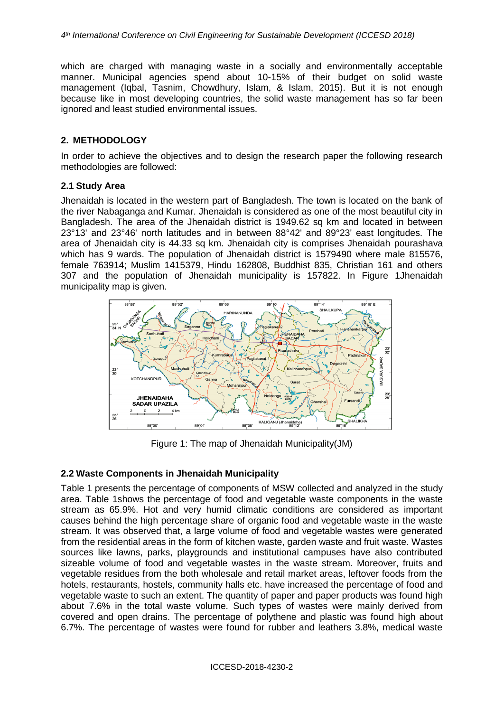which are charged with managing waste in a socially and environmentally acceptable manner. Municipal agencies spend about 10-15% of their budget on solid waste management (Iqbal, Tasnim, Chowdhury, Islam, & Islam, 2015). But it is not enough because like in most developing countries, the solid waste management has so far been ignored and least studied environmental issues.

### **2. METHODOLOGY**

In order to achieve the objectives and to design the research paper the following research methodologies are followed:

### **2.1 Study Area**

Jhenaidah is located in the western part of Bangladesh. The town is located on the bank of the river Nabaganga and Kumar. Jhenaidah is considered as one of the most beautiful city in Bangladesh. The area of the Jhenaidah district is 1949.62 sq km and located in between 23°13' and 23°46' north latitudes and in between 88°42' and 89°23' east longitudes. The area of Jhenaidah city is 44.33 sq km. Jhenaidah city is comprises Jhenaidah pourashava which has 9 wards. The population of Jhenaidah district is 1579490 where male 815576, female 763914; Muslim 1415379, Hindu 162808, Buddhist 835, Christian 161 and others 307 and the population of Jhenaidah municipality is 157822. In Figure 1Jhenaidah municipality map is given.



Figure 1: The map of Jhenaidah Municipality(JM)

## **2.2 Waste Components in Jhenaidah Municipality**

Table 1 presents the percentage of components of MSW collected and analyzed in the study area. Table 1shows the percentage of food and vegetable waste components in the waste stream as 65.9%. Hot and very humid climatic conditions are considered as important causes behind the high percentage share of organic food and vegetable waste in the waste stream. It was observed that, a large volume of food and vegetable wastes were generated from the residential areas in the form of kitchen waste, garden waste and fruit waste. Wastes sources like lawns, parks, playgrounds and institutional campuses have also contributed sizeable volume of food and vegetable wastes in the waste stream. Moreover, fruits and vegetable residues from the both wholesale and retail market areas, leftover foods from the hotels, restaurants, hostels, community halls etc. have increased the percentage of food and vegetable waste to such an extent. The quantity of paper and paper products was found high about 7.6% in the total waste volume. Such types of wastes were mainly derived from covered and open drains. The percentage of polythene and plastic was found high about 6.7%. The percentage of wastes were found for rubber and leathers 3.8%, medical waste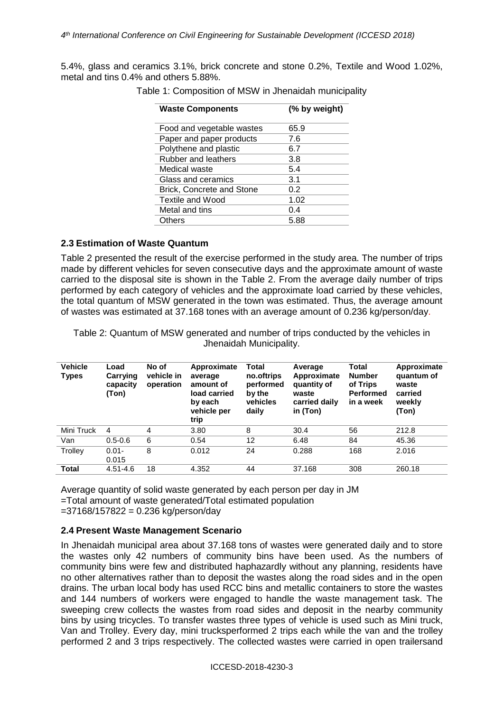5.4%, glass and ceramics 3.1%, brick concrete and stone 0.2%, Textile and Wood 1.02%, metal and tins 0.4% and others 5.88%.

| <b>Waste Components</b>    | (% by weight) |  |  |
|----------------------------|---------------|--|--|
| Food and vegetable wastes  | 65.9          |  |  |
| Paper and paper products   | 7.6           |  |  |
| Polythene and plastic      | 6.7           |  |  |
| <b>Rubber and leathers</b> | 3.8           |  |  |
| Medical waste              | 5.4           |  |  |
| Glass and ceramics         | 3.1           |  |  |
| Brick, Concrete and Stone  | 0.2           |  |  |
| Textile and Wood           | 1.02          |  |  |
| Metal and tins             | 0.4           |  |  |
| Others                     | 5.88          |  |  |
|                            |               |  |  |

Table 1: Composition of MSW in Jhenaidah municipality

## **2.3 Estimation of Waste Quantum**

Table 2 presented the result of the exercise performed in the study area. The number of trips made by different vehicles for seven consecutive days and the approximate amount of waste carried to the disposal site is shown in the Table 2. From the average daily number of trips performed by each category of vehicles and the approximate load carried by these vehicles, the total quantum of MSW generated in the town was estimated. Thus, the average amount of wastes was estimated at 37.168 tones with an average amount of 0.236 kg/person/day.

Table 2: Quantum of MSW generated and number of trips conducted by the vehicles in Jhenaidah Municipality.

| <b>Vehicle</b><br><b>Types</b> | Load<br>Carrying<br>capacity<br>(Ton) | No of<br>vehicle in<br>operation | Approximate<br>average<br>amount of<br>load carried<br>by each<br>vehicle per<br>trip | Total<br>no.oftrips<br>performed<br>by the<br>vehicles<br>daily | Average<br>Approximate<br>quantity of<br>waste<br>carried daily<br>in (Ton) | Total<br><b>Number</b><br>of Trips<br><b>Performed</b><br>in a week | Approximate<br>quantum of<br>waste<br>carried<br>weekly<br>(Ton) |
|--------------------------------|---------------------------------------|----------------------------------|---------------------------------------------------------------------------------------|-----------------------------------------------------------------|-----------------------------------------------------------------------------|---------------------------------------------------------------------|------------------------------------------------------------------|
| Mini Truck                     | 4                                     | 4                                | 3.80                                                                                  | 8                                                               | 30.4                                                                        | 56                                                                  | 212.8                                                            |
| Van                            | $0.5 - 0.6$                           | 6                                | 0.54                                                                                  | 12                                                              | 6.48                                                                        | 84                                                                  | 45.36                                                            |
| Trolley                        | $0.01 -$<br>0.015                     | 8                                | 0.012                                                                                 | 24                                                              | 0.288                                                                       | 168                                                                 | 2.016                                                            |
| <b>Total</b>                   | $4.51 - 4.6$                          | 18                               | 4.352                                                                                 | 44                                                              | 37.168                                                                      | 308                                                                 | 260.18                                                           |

Average quantity of solid waste generated by each person per day in JM =Total amount of waste generated/Total estimated population  $=37168/157822 = 0.236$  kg/person/day

#### **2.4 Present Waste Management Scenario**

In Jhenaidah municipal area about 37.168 tons of wastes were generated daily and to store the wastes only 42 numbers of community bins have been used. As the numbers of community bins were few and distributed haphazardly without any planning, residents have no other alternatives rather than to deposit the wastes along the road sides and in the open drains. The urban local body has used RCC bins and metallic containers to store the wastes and 144 numbers of workers were engaged to handle the waste management task. The sweeping crew collects the wastes from road sides and deposit in the nearby community bins by using tricycles. To transfer wastes three types of vehicle is used such as Mini truck, Van and Trolley. Every day, mini trucksperformed 2 trips each while the van and the trolley performed 2 and 3 trips respectively. The collected wastes were carried in open trailersand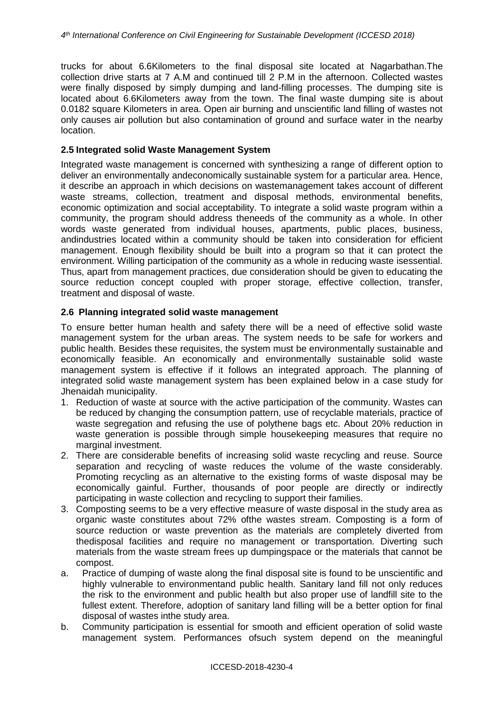trucks for about 6.6Kilometers to the final disposal site located at Nagarbathan.The collection drive starts at 7 A.M and continued till 2 P.M in the afternoon. Collected wastes were finally disposed by simply dumping and land-filling processes. The dumping site is located about 6.6Kilometers away from the town. The final waste dumping site is about 0.0182 square Kilometers in area. Open air burning and unscientific land filling of wastes not only causes air pollution but also contamination of ground and surface water in the nearby location.

### **2.5 Integrated solid Waste Management System**

Integrated waste management is concerned with synthesizing a range of different option to deliver an environmentally andeconomically sustainable system for a particular area. Hence, it describe an approach in which decisions on wastemanagement takes account of different waste streams, collection, treatment and disposal methods, environmental benefits, economic optimization and social acceptability. To integrate a solid waste program within a community, the program should address theneeds of the community as a whole. In other words waste generated from individual houses, apartments, public places, business, andindustries located within a community should be taken into consideration for efficient management. Enough flexibility should be built into a program so that it can protect the environment. Willing participation of the community as a whole in reducing waste isessential. Thus, apart from management practices, due consideration should be given to educating the source reduction concept coupled with proper storage, effective collection, transfer, treatment and disposal of waste.

## **2.6 Planning integrated solid waste management**

To ensure better human health and safety there will be a need of effective solid waste management system for the urban areas. The system needs to be safe for workers and public health. Besides these requisites, the system must be environmentally sustainable and economically feasible. An economically and environmentally sustainable solid waste management system is effective if it follows an integrated approach. The planning of integrated solid waste management system has been explained below in a case study for Jhenaidah municipality.

- 1. Reduction of waste at source with the active participation of the community. Wastes can be reduced by changing the consumption pattern, use of recyclable materials, practice of waste segregation and refusing the use of polythene bags etc. About 20% reduction in waste generation is possible through simple housekeeping measures that require no marginal investment.
- 2. There are considerable benefits of increasing solid waste recycling and reuse. Source separation and recycling of waste reduces the volume of the waste considerably. Promoting recycling as an alternative to the existing forms of waste disposal may be economically gainful. Further, thousands of poor people are directly or indirectly participating in waste collection and recycling to support their families.
- 3. Composting seems to be a very effective measure of waste disposal in the study area as organic waste constitutes about 72% ofthe wastes stream. Composting is a form of source reduction or waste prevention as the materials are completely diverted from thedisposal facilities and require no management or transportation. Diverting such materials from the waste stream frees up dumpingspace or the materials that cannot be compost.
- a. Practice of dumping of waste along the final disposal site is found to be unscientific and highly vulnerable to environmentand public health. Sanitary land fill not only reduces the risk to the environment and public health but also proper use of landfill site to the fullest extent. Therefore, adoption of sanitary land filling will be a better option for final disposal of wastes inthe study area.
- b. Community participation is essential for smooth and efficient operation of solid waste management system. Performances ofsuch system depend on the meaningful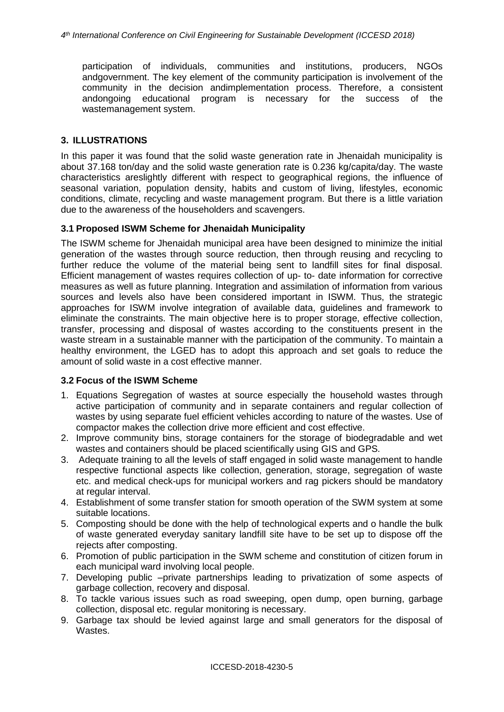participation of individuals, communities and institutions, producers, NGOs andgovernment. The key element of the community participation is involvement of the community in the decision andimplementation process. Therefore, a consistent andongoing educational program is necessary for the success of the wastemanagement system.

## **3. ILLUSTRATIONS**

In this paper it was found that the solid waste generation rate in Jhenaidah municipality is about 37.168 ton/day and the solid waste generation rate is 0.236 kg/capita/day. The waste characteristics areslightly different with respect to geographical regions, the influence of seasonal variation, population density, habits and custom of living, lifestyles, economic conditions, climate, recycling and waste management program. But there is a little variation due to the awareness of the householders and scavengers.

## **3.1 Proposed ISWM Scheme for Jhenaidah Municipality**

The ISWM scheme for Jhenaidah municipal area have been designed to minimize the initial generation of the wastes through source reduction, then through reusing and recycling to further reduce the volume of the material being sent to landfill sites for final disposal. Efficient management of wastes requires collection of up- to- date information for corrective measures as well as future planning. Integration and assimilation of information from various sources and levels also have been considered important in ISWM. Thus, the strategic approaches for ISWM involve integration of available data, guidelines and framework to eliminate the constraints. The main objective here is to proper storage, effective collection, transfer, processing and disposal of wastes according to the constituents present in the waste stream in a sustainable manner with the participation of the community. To maintain a healthy environment, the LGED has to adopt this approach and set goals to reduce the amount of solid waste in a cost effective manner.

## **3.2 Focus of the ISWM Scheme**

- 1. Equations Segregation of wastes at source especially the household wastes through active participation of community and in separate containers and regular collection of wastes by using separate fuel efficient vehicles according to nature of the wastes. Use of compactor makes the collection drive more efficient and cost effective.
- 2. Improve community bins, storage containers for the storage of biodegradable and wet wastes and containers should be placed scientifically using GIS and GPS.
- 3. Adequate training to all the levels of staff engaged in solid waste management to handle respective functional aspects like collection, generation, storage, segregation of waste etc. and medical check-ups for municipal workers and rag pickers should be mandatory at regular interval.
- 4. Establishment of some transfer station for smooth operation of the SWM system at some suitable locations.
- 5. Composting should be done with the help of technological experts and o handle the bulk of waste generated everyday sanitary landfill site have to be set up to dispose off the rejects after composting.
- 6. Promotion of public participation in the SWM scheme and constitution of citizen forum in each municipal ward involving local people.
- 7. Developing public –private partnerships leading to privatization of some aspects of garbage collection, recovery and disposal.
- 8. To tackle various issues such as road sweeping, open dump, open burning, garbage collection, disposal etc. regular monitoring is necessary.
- 9. Garbage tax should be levied against large and small generators for the disposal of Wastes.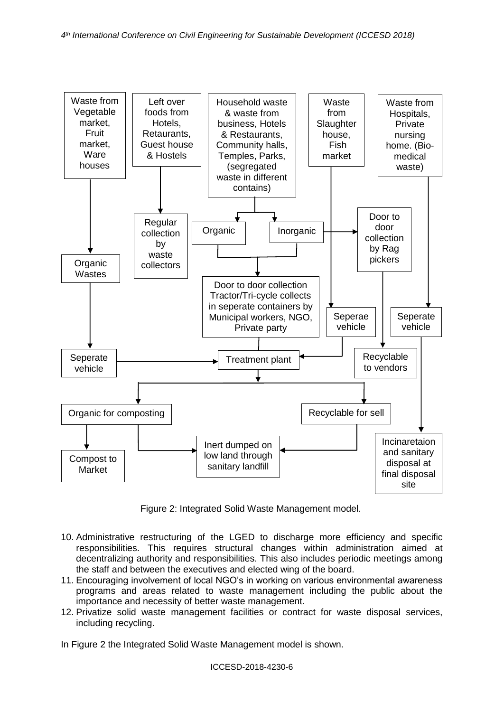

Figure 2: Integrated Solid Waste Management model.

- 10. Administrative restructuring of the LGED to discharge more efficiency and specific responsibilities. This requires structural changes within administration aimed at decentralizing authority and responsibilities. This also includes periodic meetings among the staff and between the executives and elected wing of the board.
- 11. Encouraging involvement of local NGO's in working on various environmental awareness programs and areas related to waste management including the public about the importance and necessity of better waste management.
- 12. Privatize solid waste management facilities or contract for waste disposal services, including recycling.

In Figure 2 the Integrated Solid Waste Management model is shown.